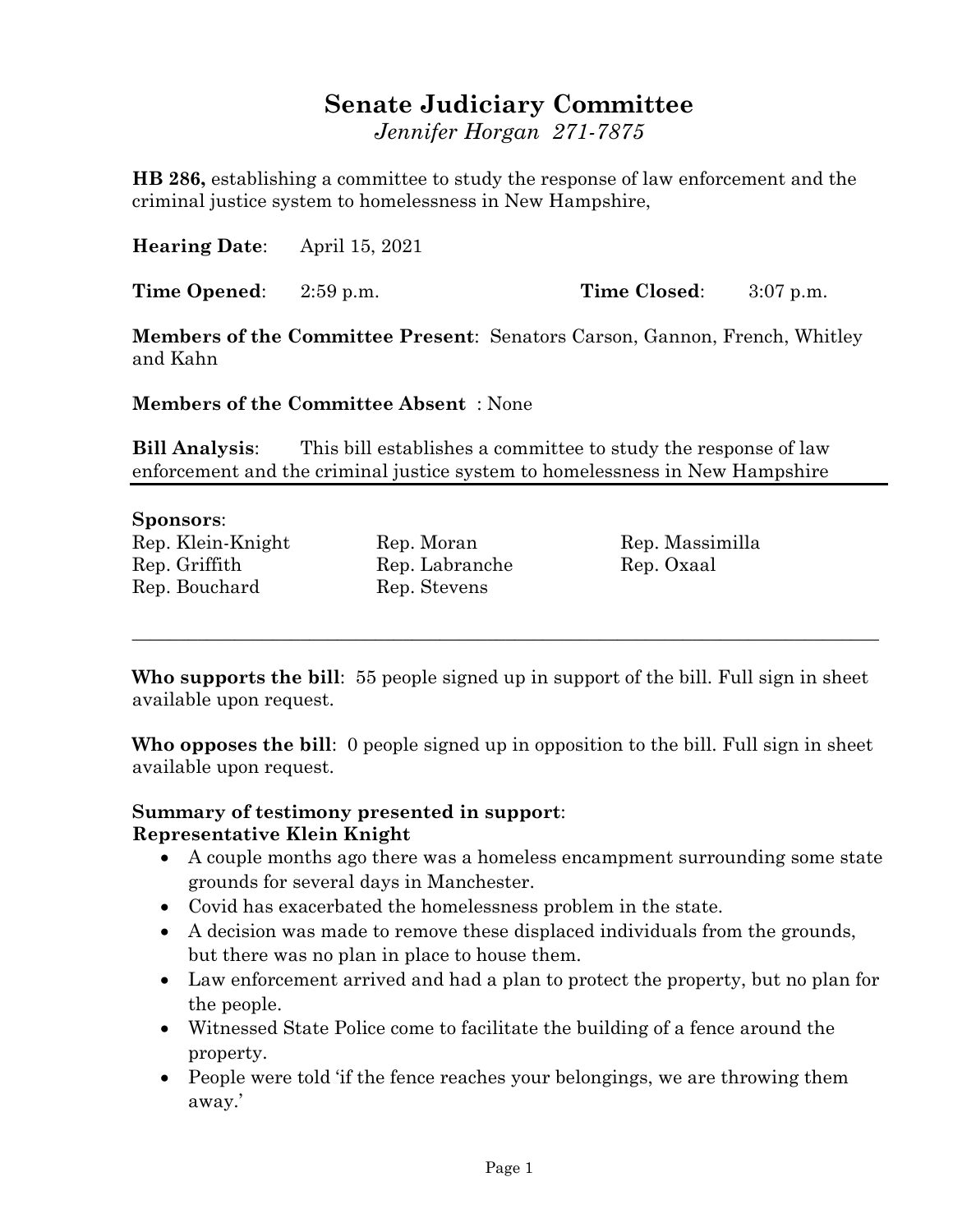## **Senate Judiciary Committee**

*Jennifer Horgan 271-7875*

**HB 286,** establishing a committee to study the response of law enforcement and the criminal justice system to homelessness in New Hampshire,

**Hearing Date**: April 15, 2021

**Time Opened**: 2:59 p.m. **Time Closed**: 3:07 p.m.

**Members of the Committee Present**: Senators Carson, Gannon, French, Whitley and Kahn

**Members of the Committee Absent** : None

**Bill Analysis**: This bill establishes a committee to study the response of law enforcement and the criminal justice system to homelessness in New Hampshire

## **Sponsors**:

Rep. Klein-Knight Rep. Moran Rep. Massimilla Rep. Griffith Rep. Labranche Rep. Oxaal Rep. Bouchard Rep. Stevens

**Who supports the bill**: 55 people signed up in support of the bill. Full sign in sheet available upon request.

\_\_\_\_\_\_\_\_\_\_\_\_\_\_\_\_\_\_\_\_\_\_\_\_\_\_\_\_\_\_\_\_\_\_\_\_\_\_\_\_\_\_\_\_\_\_\_\_\_\_\_\_\_\_\_\_\_\_\_\_\_\_\_\_\_\_\_\_\_\_\_\_\_\_\_\_\_\_\_\_

**Who opposes the bill**: 0 people signed up in opposition to the bill. Full sign in sheet available upon request.

## **Summary of testimony presented in support**: **Representative Klein Knight**

- A couple months ago there was a homeless encampment surrounding some state grounds for several days in Manchester.
- Covid has exacerbated the homelessness problem in the state.
- A decision was made to remove these displaced individuals from the grounds, but there was no plan in place to house them.
- Law enforcement arrived and had a plan to protect the property, but no plan for the people.
- Witnessed State Police come to facilitate the building of a fence around the property.
- People were told 'if the fence reaches your belongings, we are throwing them away.'